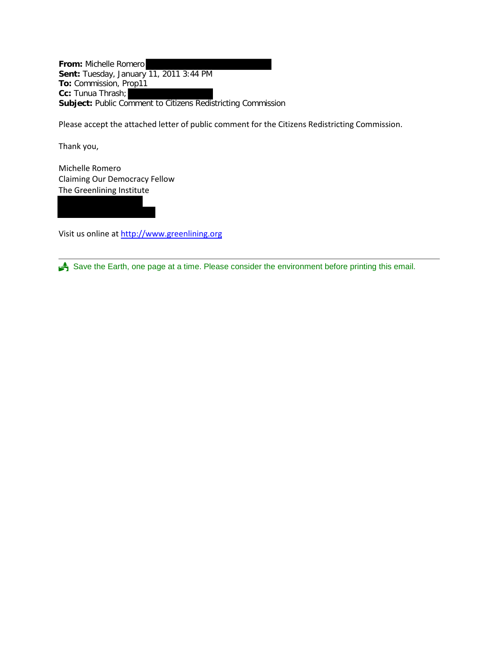**From:** Michelle Romero **Sent:** Tuesday, January 11, 2011 3:44 PM **To:** Commission, Prop11 **Cc:** Tunua Thrash; **Subject:** Public Comment to Citizens Redistricting Commission

Please accept the attached letter of public comment for the Citizens Redistricting Commission.

Thank you,

Michelle Romero Claiming Our Democracy Fellow The Greenlining Institute

Visit us online at [http://www.greenlining.org](http://www.greenlining.org/)

Save the Earth, one page at a time. Please consider the environment before printing this email.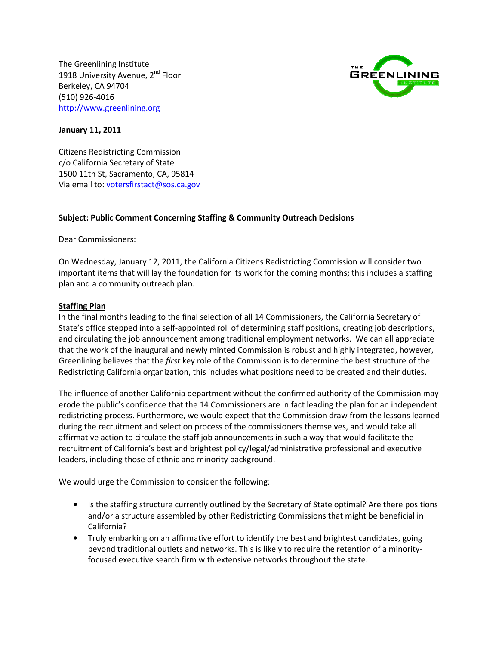The Greenlining Institute 1918 University Avenue, 2<sup>nd</sup> Floor Berkeley, CA 94704 (510) 926-4016 http://www.greenlining.org



## January 11, 2011

Citizens Redistricting Commission c/o California Secretary of State 1500 11th St, Sacramento, CA, 95814 Via email to: votersfirstact@sos.ca.gov

## Subject: Public Comment Concerning Staffing & Community Outreach Decisions

Dear Commissioners:

On Wednesday, January 12, 2011, the California Citizens Redistricting Commission will consider two important items that will lay the foundation for its work for the coming months; this includes a staffing plan and a community outreach plan.

## Staffing Plan

In the final months leading to the final selection of all 14 Commissioners, the California Secretary of State's office stepped into a self-appointed roll of determining staff positions, creating job descriptions, and circulating the job announcement among traditional employment networks. We can all appreciate that the work of the inaugural and newly minted Commission is robust and highly integrated, however, Greenlining believes that the first key role of the Commission is to determine the best structure of the Redistricting California organization, this includes what positions need to be created and their duties.

The influence of another California department without the confirmed authority of the Commission may erode the public's confidence that the 14 Commissioners are in fact leading the plan for an independent redistricting process. Furthermore, we would expect that the Commission draw from the lessons learned during the recruitment and selection process of the commissioners themselves, and would take all affirmative action to circulate the staff job announcements in such a way that would facilitate the recruitment of California's best and brightest policy/legal/administrative professional and executive leaders, including those of ethnic and minority background.

We would urge the Commission to consider the following:

- Is the staffing structure currently outlined by the Secretary of State optimal? Are there positions and/or a structure assembled by other Redistricting Commissions that might be beneficial in California?
- Truly embarking on an affirmative effort to identify the best and brightest candidates, going beyond traditional outlets and networks. This is likely to require the retention of a minorityfocused executive search firm with extensive networks throughout the state.